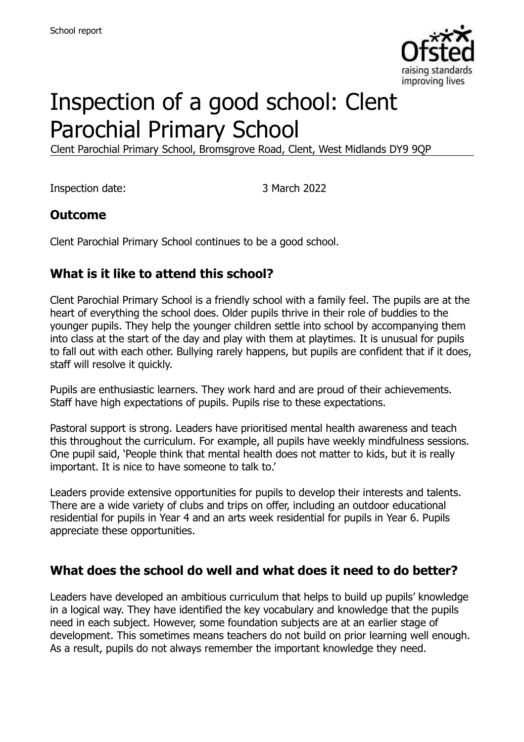

# Inspection of a good school: Clent Parochial Primary School

Clent Parochial Primary School, Bromsgrove Road, Clent, West Midlands DY9 9QP

Inspection date: 3 March 2022

#### **Outcome**

Clent Parochial Primary School continues to be a good school.

#### **What is it like to attend this school?**

Clent Parochial Primary School is a friendly school with a family feel. The pupils are at the heart of everything the school does. Older pupils thrive in their role of buddies to the younger pupils. They help the younger children settle into school by accompanying them into class at the start of the day and play with them at playtimes. It is unusual for pupils to fall out with each other. Bullying rarely happens, but pupils are confident that if it does, staff will resolve it quickly.

Pupils are enthusiastic learners. They work hard and are proud of their achievements. Staff have high expectations of pupils. Pupils rise to these expectations.

Pastoral support is strong. Leaders have prioritised mental health awareness and teach this throughout the curriculum. For example, all pupils have weekly mindfulness sessions. One pupil said, 'People think that mental health does not matter to kids, but it is really important. It is nice to have someone to talk to.'

Leaders provide extensive opportunities for pupils to develop their interests and talents. There are a wide variety of clubs and trips on offer, including an outdoor educational residential for pupils in Year 4 and an arts week residential for pupils in Year 6. Pupils appreciate these opportunities.

#### **What does the school do well and what does it need to do better?**

Leaders have developed an ambitious curriculum that helps to build up pupils' knowledge in a logical way. They have identified the key vocabulary and knowledge that the pupils need in each subject. However, some foundation subjects are at an earlier stage of development. This sometimes means teachers do not build on prior learning well enough. As a result, pupils do not always remember the important knowledge they need.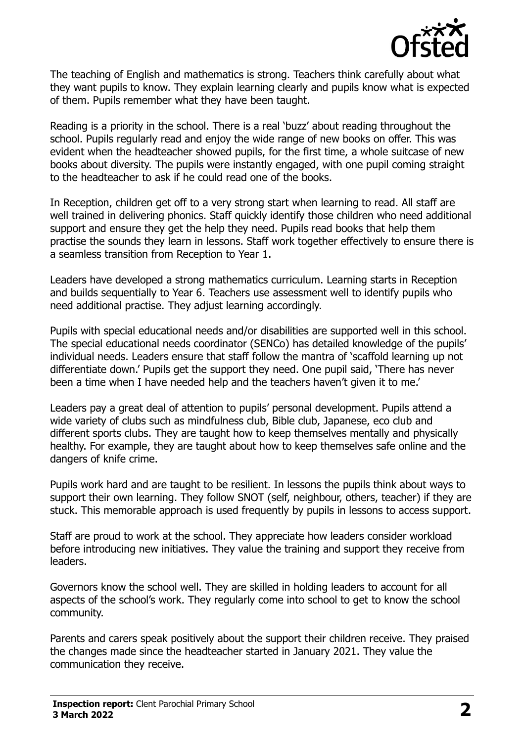

The teaching of English and mathematics is strong. Teachers think carefully about what they want pupils to know. They explain learning clearly and pupils know what is expected of them. Pupils remember what they have been taught.

Reading is a priority in the school. There is a real 'buzz' about reading throughout the school. Pupils regularly read and enjoy the wide range of new books on offer. This was evident when the headteacher showed pupils, for the first time, a whole suitcase of new books about diversity. The pupils were instantly engaged, with one pupil coming straight to the headteacher to ask if he could read one of the books.

In Reception, children get off to a very strong start when learning to read. All staff are well trained in delivering phonics. Staff quickly identify those children who need additional support and ensure they get the help they need. Pupils read books that help them practise the sounds they learn in lessons. Staff work together effectively to ensure there is a seamless transition from Reception to Year 1.

Leaders have developed a strong mathematics curriculum. Learning starts in Reception and builds sequentially to Year 6. Teachers use assessment well to identify pupils who need additional practise. They adjust learning accordingly.

Pupils with special educational needs and/or disabilities are supported well in this school. The special educational needs coordinator (SENCo) has detailed knowledge of the pupils' individual needs. Leaders ensure that staff follow the mantra of 'scaffold learning up not differentiate down.' Pupils get the support they need. One pupil said, 'There has never been a time when I have needed help and the teachers haven't given it to me.'

Leaders pay a great deal of attention to pupils' personal development. Pupils attend a wide variety of clubs such as mindfulness club, Bible club, Japanese, eco club and different sports clubs. They are taught how to keep themselves mentally and physically healthy. For example, they are taught about how to keep themselves safe online and the dangers of knife crime.

Pupils work hard and are taught to be resilient. In lessons the pupils think about ways to support their own learning. They follow SNOT (self, neighbour, others, teacher) if they are stuck. This memorable approach is used frequently by pupils in lessons to access support.

Staff are proud to work at the school. They appreciate how leaders consider workload before introducing new initiatives. They value the training and support they receive from leaders.

Governors know the school well. They are skilled in holding leaders to account for all aspects of the school's work. They regularly come into school to get to know the school community.

Parents and carers speak positively about the support their children receive. They praised the changes made since the headteacher started in January 2021. They value the communication they receive.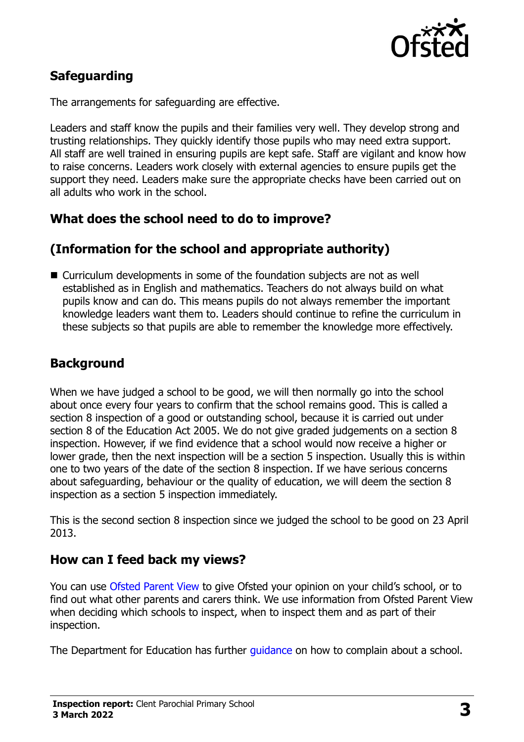

# **Safeguarding**

The arrangements for safeguarding are effective.

Leaders and staff know the pupils and their families very well. They develop strong and trusting relationships. They quickly identify those pupils who may need extra support. All staff are well trained in ensuring pupils are kept safe. Staff are vigilant and know how to raise concerns. Leaders work closely with external agencies to ensure pupils get the support they need. Leaders make sure the appropriate checks have been carried out on all adults who work in the school.

#### **What does the school need to do to improve?**

#### **(Information for the school and appropriate authority)**

■ Curriculum developments in some of the foundation subjects are not as well established as in English and mathematics. Teachers do not always build on what pupils know and can do. This means pupils do not always remember the important knowledge leaders want them to. Leaders should continue to refine the curriculum in these subjects so that pupils are able to remember the knowledge more effectively.

# **Background**

When we have judged a school to be good, we will then normally go into the school about once every four years to confirm that the school remains good. This is called a section 8 inspection of a good or outstanding school, because it is carried out under section 8 of the Education Act 2005. We do not give graded judgements on a section 8 inspection. However, if we find evidence that a school would now receive a higher or lower grade, then the next inspection will be a section 5 inspection. Usually this is within one to two years of the date of the section 8 inspection. If we have serious concerns about safeguarding, behaviour or the quality of education, we will deem the section 8 inspection as a section 5 inspection immediately.

This is the second section 8 inspection since we judged the school to be good on 23 April 2013.

#### **How can I feed back my views?**

You can use [Ofsted Parent View](https://parentview.ofsted.gov.uk/) to give Ofsted your opinion on your child's school, or to find out what other parents and carers think. We use information from Ofsted Parent View when deciding which schools to inspect, when to inspect them and as part of their inspection.

The Department for Education has further [guidance](http://www.gov.uk/complain-about-school) on how to complain about a school.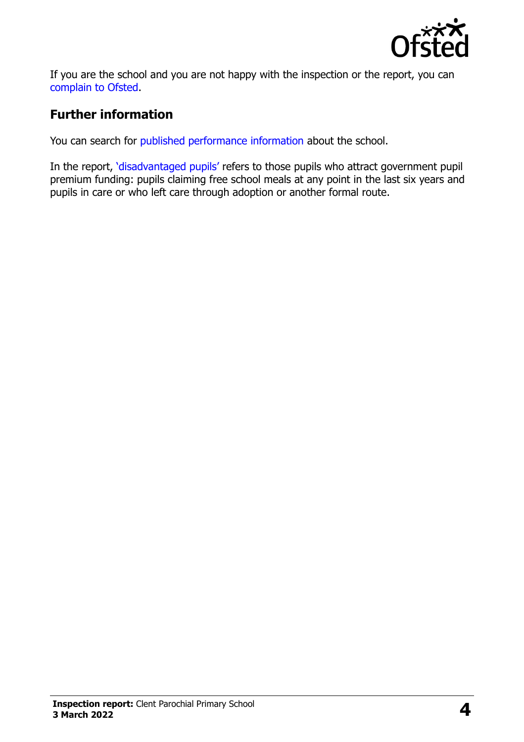

If you are the school and you are not happy with the inspection or the report, you can [complain to Ofsted.](https://www.gov.uk/complain-ofsted-report)

# **Further information**

You can search for [published performance information](http://www.compare-school-performance.service.gov.uk/) about the school.

In the report, '[disadvantaged pupils](http://www.gov.uk/guidance/pupil-premium-information-for-schools-and-alternative-provision-settings)' refers to those pupils who attract government pupil premium funding: pupils claiming free school meals at any point in the last six years and pupils in care or who left care through adoption or another formal route.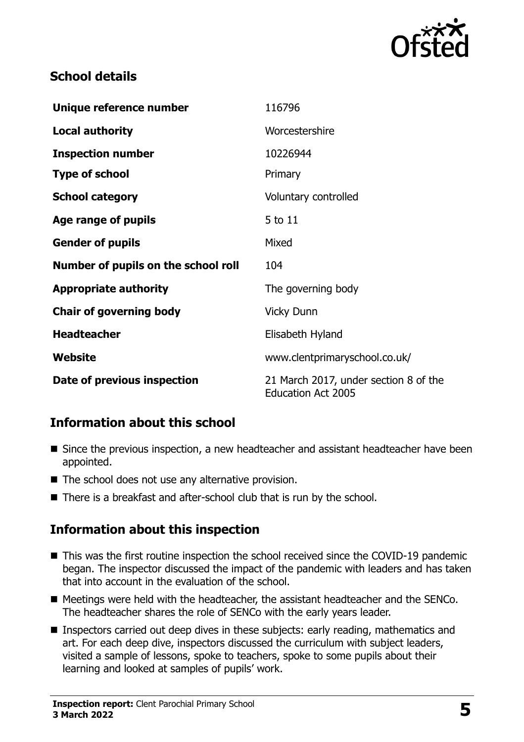

# **School details**

| Unique reference number             | 116796                                                             |
|-------------------------------------|--------------------------------------------------------------------|
| <b>Local authority</b>              | Worcestershire                                                     |
| <b>Inspection number</b>            | 10226944                                                           |
| <b>Type of school</b>               | Primary                                                            |
| <b>School category</b>              | Voluntary controlled                                               |
| <b>Age range of pupils</b>          | 5 to 11                                                            |
| <b>Gender of pupils</b>             | Mixed                                                              |
| Number of pupils on the school roll | 104                                                                |
| <b>Appropriate authority</b>        | The governing body                                                 |
| <b>Chair of governing body</b>      | <b>Vicky Dunn</b>                                                  |
| <b>Headteacher</b>                  | Elisabeth Hyland                                                   |
| Website                             | www.clentprimaryschool.co.uk/                                      |
| Date of previous inspection         | 21 March 2017, under section 8 of the<br><b>Education Act 2005</b> |

# **Information about this school**

- Since the previous inspection, a new headteacher and assistant headteacher have been appointed.
- $\blacksquare$  The school does not use any alternative provision.
- There is a breakfast and after-school club that is run by the school.

#### **Information about this inspection**

- This was the first routine inspection the school received since the COVID-19 pandemic began. The inspector discussed the impact of the pandemic with leaders and has taken that into account in the evaluation of the school.
- Meetings were held with the headteacher, the assistant headteacher and the SENCo. The headteacher shares the role of SENCo with the early years leader.
- **Inspectors carried out deep dives in these subjects: early reading, mathematics and** art. For each deep dive, inspectors discussed the curriculum with subject leaders, visited a sample of lessons, spoke to teachers, spoke to some pupils about their learning and looked at samples of pupils' work.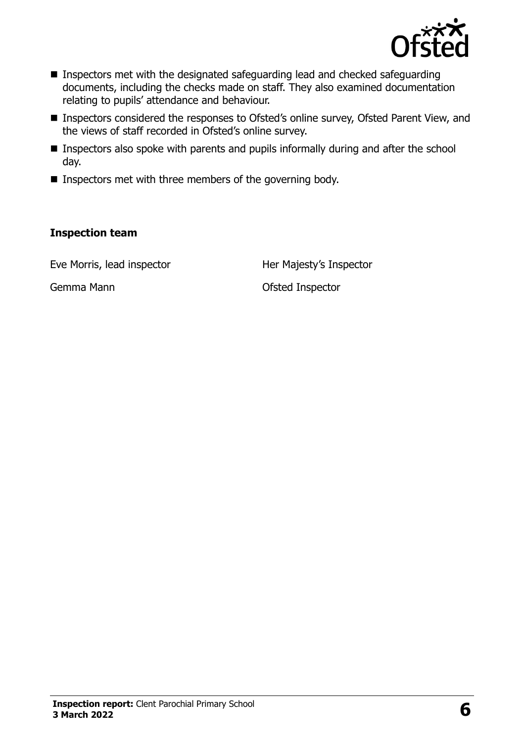

- Inspectors met with the designated safeguarding lead and checked safeguarding documents, including the checks made on staff. They also examined documentation relating to pupils' attendance and behaviour.
- Inspectors considered the responses to Ofsted's online survey, Ofsted Parent View, and the views of staff recorded in Ofsted's online survey.
- **Inspectors also spoke with parents and pupils informally during and after the school** day.
- $\blacksquare$  Inspectors met with three members of the governing body.

#### **Inspection team**

Eve Morris, lead inspector **Her Majesty's Inspector** 

Gemma Mann **Comma Mann Comma Mann Comma Mann Comma Mann Comma Mann Comma Mann**